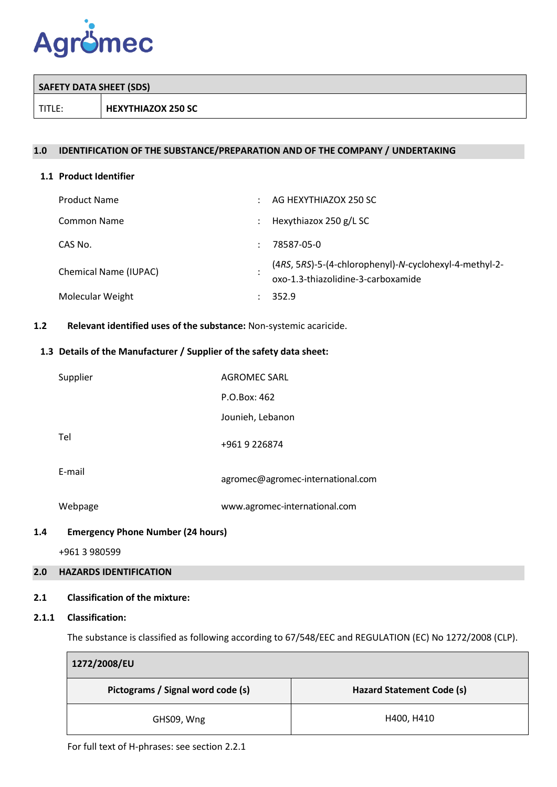

| SAFETY DATA SHEET (SDS) |                           |
|-------------------------|---------------------------|
| TITLE:                  | <b>HEXYTHIAZOX 250 SC</b> |

### **1.0 IDENTIFICATION OF THE SUBSTANCE/PREPARATION AND OF THE COMPANY / UNDERTAKING**

#### **1.1 Product Identifier**

| <b>Product Name</b>   | AG HEXYTHIAZOX 250 SC                                                                        |
|-----------------------|----------------------------------------------------------------------------------------------|
| Common Name           | Hexythiazox 250 g/L SC                                                                       |
| CAS No.               | 78587-05-0                                                                                   |
| Chemical Name (IUPAC) | (4RS, 5RS)-5-(4-chlorophenyl)-N-cyclohexyl-4-methyl-2-<br>oxo-1.3-thiazolidine-3-carboxamide |
| Molecular Weight      | 352.9                                                                                        |

## **1.2 Relevant identified uses of the substance:** Non-systemic acaricide.

### **1.3 Details of the Manufacturer / Supplier of the safety data sheet:**

| Supplier | AGROMEC SARL                      |
|----------|-----------------------------------|
|          | P.O.Box: 462                      |
|          | Jounieh, Lebanon                  |
| Tel      | +9619226874                       |
| E-mail   | agromec@agromec-international.com |
| Webpage  | www.agromec-international.com     |
|          |                                   |

### **1.4 Emergency Phone Number (24 hours)**

+961 3 980599

## **2.0 HAZARDS IDENTIFICATION**

### **2.1 Classification of the mixture:**

#### **2.1.1 Classification:**

 $\blacksquare$ 

The substance is classified as following according to 67/548/EEC and REGULATION (EC) No 1272/2008 (CLP).

| 1272/2008/EU                      |                           |  |  |  |  |  |
|-----------------------------------|---------------------------|--|--|--|--|--|
| Pictograms / Signal word code (s) | Hazard Statement Code (s) |  |  |  |  |  |
| GHS09, Wng                        | H400, H410                |  |  |  |  |  |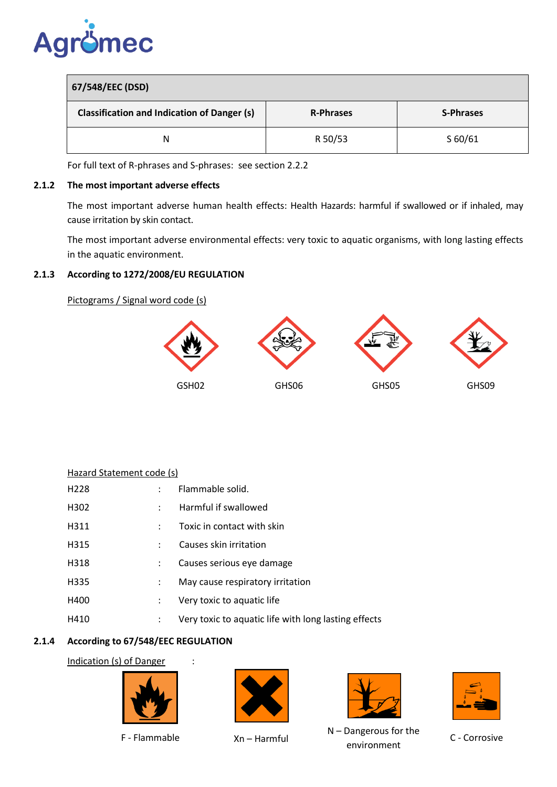

| 67/548/EEC (DSD)                                   |                  |                  |  |  |  |  |
|----------------------------------------------------|------------------|------------------|--|--|--|--|
| <b>Classification and Indication of Danger (s)</b> | <b>R-Phrases</b> | <b>S-Phrases</b> |  |  |  |  |
| Ν                                                  | R 50/53          | S 60/61          |  |  |  |  |

For full text of R-phrases and S-phrases: see section 2.2.2

### **2.1.2 The most important adverse effects**

The most important adverse human health effects: Health Hazards: harmful if swallowed or if inhaled, may cause irritation by skin contact.

The most important adverse environmental effects: very toxic to aquatic organisms, with long lasting effects in the aquatic environment.

# **2.1.3 According to 1272/2008/EU REGULATION**

Pictograms / Signal word code (s)



| Hazard Statement code (s) |         |                                                      |
|---------------------------|---------|------------------------------------------------------|
| H <sub>228</sub>          | $\cdot$ | Flammable solid.                                     |
| H <sub>302</sub>          |         | Harmful if swallowed                                 |
| H311                      |         | Toxic in contact with skin                           |
| H315                      |         | Causes skin irritation                               |
| H318                      |         | Causes serious eye damage                            |
| H335                      |         | May cause respiratory irritation                     |
| H400                      |         | Very toxic to aquatic life                           |
| H410                      | :       | Very toxic to aquatic life with long lasting effects |
|                           |         |                                                      |

# **2.1.4 According to 67/548/EEC REGULATION**

Indication (s) of Danger :



F - Flammable Xn – Harmful





N – Dangerous for the environment



C - Corrosive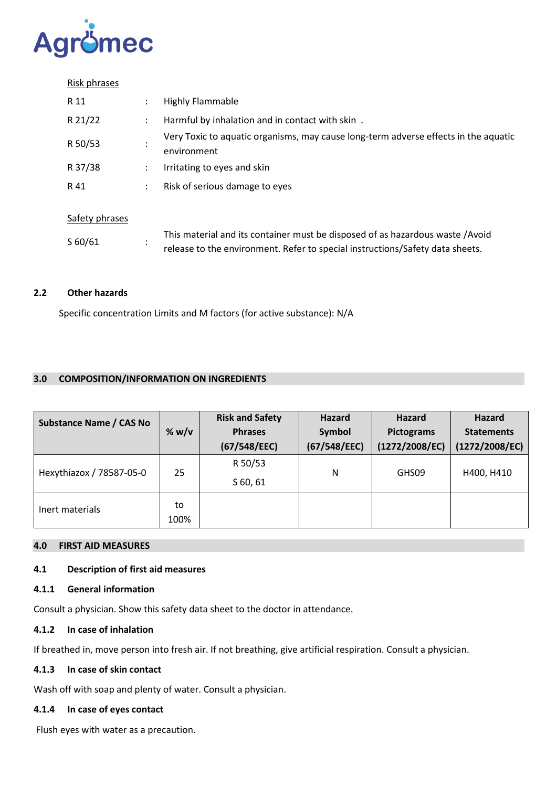

#### Risk phrases

| R 11           |   | <b>Highly Flammable</b>                                                                            |
|----------------|---|----------------------------------------------------------------------------------------------------|
| R 21/22        |   | Harmful by inhalation and in contact with skin.                                                    |
| R 50/53        |   | Very Toxic to aquatic organisms, may cause long-term adverse effects in the aquatic<br>environment |
| R 37/38        |   | Irritating to eyes and skin                                                                        |
| R 41           | ÷ | Risk of serious damage to eyes                                                                     |
| Safety phrases |   |                                                                                                    |

| S 60/61 | This material and its container must be disposed of as hazardous waste /Avoid |
|---------|-------------------------------------------------------------------------------|
|         | release to the environment. Refer to special instructions/Safety data sheets. |

## **2.2 Other hazards**

Specific concentration Limits and M factors (for active substance): N/A

## **3.0 COMPOSITION/INFORMATION ON INGREDIENTS**

| <b>Substance Name / CAS No</b> | % w/v | <b>Risk and Safety</b><br><b>Phrases</b> | Hazard<br>Symbol | <b>Hazard</b><br>Pictograms | <b>Hazard</b><br><b>Statements</b><br>(1272/2008/EC) |  |
|--------------------------------|-------|------------------------------------------|------------------|-----------------------------|------------------------------------------------------|--|
|                                |       | (67/548/EEC)                             | (67/548/EEC)     | (1272/2008/EC)              |                                                      |  |
| Hexythiazox / 78587-05-0       | 25    | R 50/53                                  | N                | GHS09                       | H400, H410                                           |  |
|                                |       | $S$ 60, 61                               |                  |                             |                                                      |  |
| Inert materials                | to    |                                          |                  |                             |                                                      |  |
|                                | 100%  |                                          |                  |                             |                                                      |  |

#### **4.0 FIRST AID MEASURES**

## **4.1 Description of first aid measures**

## **4.1.1 General information**

Consult a physician. Show this safety data sheet to the doctor in attendance.

## **4.1.2 In case of inhalation**

If breathed in, move person into fresh air. If not breathing, give artificial respiration. Consult a physician.

## **4.1.3 In case of skin contact**

Wash off with soap and plenty of water. Consult a physician.

#### **4.1.4 In case of eyes contact**

Flush eyes with water as a precaution.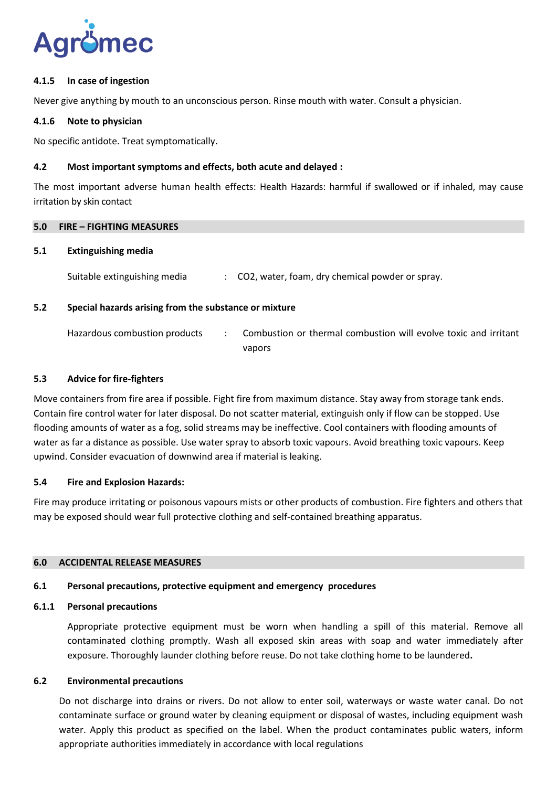

### **4.1.5 In case of ingestion**

Never give anything by mouth to an unconscious person. Rinse mouth with water. Consult a physician.

### **4.1.6 Note to physician**

No specific antidote. Treat symptomatically.

### **4.2 Most important symptoms and effects, both acute and delayed :**

The most important adverse human health effects: Health Hazards: harmful if swallowed or if inhaled, may cause irritation by skin contact

#### **5.0 FIRE – FIGHTING MEASURES**

#### **5.1 Extinguishing media**

Suitable extinguishing media : CO2, water, foam, dry chemical powder or spray.

### **5.2 Special hazards arising from the substance or mixture**

| Hazardous combustion products | Combustion or thermal combustion will evolve toxic and irritant |
|-------------------------------|-----------------------------------------------------------------|
|                               | vapors                                                          |

#### **5.3 Advice for fire-fighters**

Move containers from fire area if possible. Fight fire from maximum distance. Stay away from storage tank ends. Contain fire control water for later disposal. Do not scatter material, extinguish only if flow can be stopped. Use flooding amounts of water as a fog, solid streams may be ineffective. Cool containers with flooding amounts of water as far a distance as possible. Use water spray to absorb toxic vapours. Avoid breathing toxic vapours. Keep upwind. Consider evacuation of downwind area if material is leaking.

### **5.4 Fire and Explosion Hazards:**

Fire may produce irritating or poisonous vapours mists or other products of combustion. Fire fighters and others that may be exposed should wear full protective clothing and self-contained breathing apparatus.

## **6.0 ACCIDENTAL RELEASE MEASURES**

### **6.1 Personal precautions, protective equipment and emergency procedures**

#### **6.1.1 Personal precautions**

Appropriate protective equipment must be worn when handling a spill of this material. Remove all contaminated clothing promptly. Wash all exposed skin areas with soap and water immediately after exposure. Thoroughly launder clothing before reuse. Do not take clothing home to be laundered**.**

#### **6.2 Environmental precautions**

Do not discharge into drains or rivers. Do not allow to enter soil, waterways or waste water canal. Do not contaminate surface or ground water by cleaning equipment or disposal of wastes, including equipment wash water. Apply this product as specified on the label. When the product contaminates public waters, inform appropriate authorities immediately in accordance with local regulations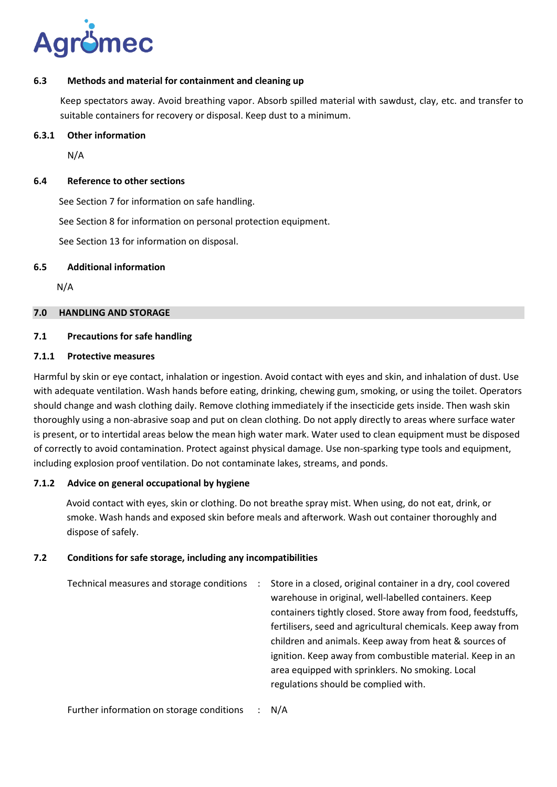

### **6.3 Methods and material for containment and cleaning up**

Keep spectators away. Avoid breathing vapor. Absorb spilled material with sawdust, clay, etc. and transfer to suitable containers for recovery or disposal. Keep dust to a minimum.

#### **6.3.1 Other information**

N/A

#### **6.4 Reference to other sections**

See Section 7 for information on safe handling.

See Section 8 for information on personal protection equipment.

See Section 13 for information on disposal.

#### **6.5 Additional information**

N/A

## **7.0 HANDLING AND STORAGE**

#### **7.1 Precautions for safe handling**

#### **7.1.1 Protective measures**

Harmful by skin or eye contact, inhalation or ingestion. Avoid contact with eyes and skin, and inhalation of dust. Use with adequate ventilation. Wash hands before eating, drinking, chewing gum, smoking, or using the toilet. Operators should change and wash clothing daily. Remove clothing immediately if the insecticide gets inside. Then wash skin thoroughly using a non-abrasive soap and put on clean clothing. Do not apply directly to areas where surface water is present, or to intertidal areas below the mean high water mark. Water used to clean equipment must be disposed of correctly to avoid contamination. Protect against physical damage. Use non-sparking type tools and equipment, including explosion proof ventilation. Do not contaminate lakes, streams, and ponds.

### **7.1.2 Advice on general occupational by hygiene**

 Avoid contact with eyes, skin or clothing. Do not breathe spray mist. When using, do not eat, drink, or smoke. Wash hands and exposed skin before meals and afterwork. Wash out container thoroughly and dispose of safely.

### **7.2 Conditions for safe storage, including any incompatibilities**

Technical measures and storage conditions : Store in a closed, original container in a dry, cool covered warehouse in original, well-labelled containers. Keep containers tightly closed. Store away from food, feedstuffs, fertilisers, seed and agricultural chemicals. Keep away from children and animals. Keep away from heat & sources of ignition. Keep away from combustible material. Keep in an area equipped with sprinklers. No smoking. Local regulations should be complied with.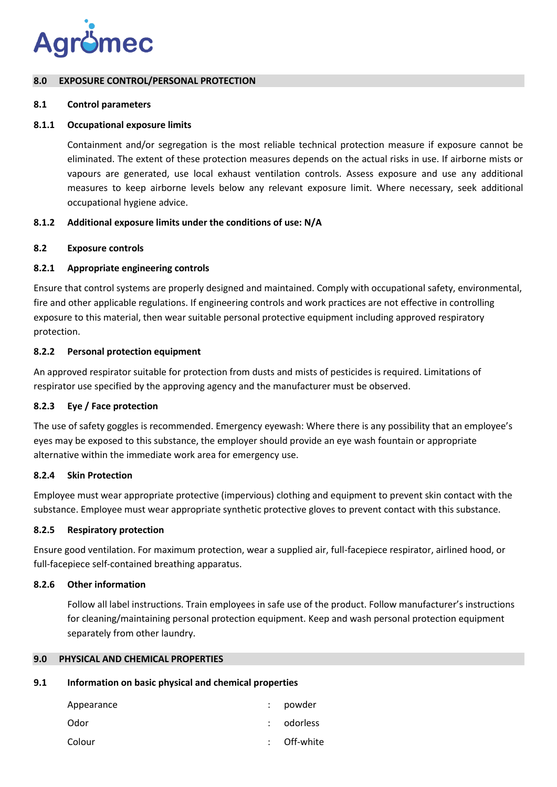

#### **8.0 EXPOSURE CONTROL/PERSONAL PROTECTION**

#### **8.1 Control parameters**

### **8.1.1 Occupational exposure limits**

Containment and/or segregation is the most reliable technical protection measure if exposure cannot be eliminated. The extent of these protection measures depends on the actual risks in use. If airborne mists or vapours are generated, use local exhaust ventilation controls. Assess exposure and use any additional measures to keep airborne levels below any relevant exposure limit. Where necessary, seek additional occupational hygiene advice.

### **8.1.2 Additional exposure limits under the conditions of use: N/A**

### **8.2 Exposure controls**

### **8.2.1 Appropriate engineering controls**

Ensure that control systems are properly designed and maintained. Comply with occupational safety, environmental, fire and other applicable regulations. If engineering controls and work practices are not effective in controlling exposure to this material, then wear suitable personal protective equipment including approved respiratory protection.

### **8.2.2 Personal protection equipment**

An approved respirator suitable for protection from dusts and mists of pesticides is required. Limitations of respirator use specified by the approving agency and the manufacturer must be observed.

### **8.2.3 Eye / Face protection**

The use of safety goggles is recommended. Emergency eyewash: Where there is any possibility that an employee's eyes may be exposed to this substance, the employer should provide an eye wash fountain or appropriate alternative within the immediate work area for emergency use.

### **8.2.4 Skin Protection**

Employee must wear appropriate protective (impervious) clothing and equipment to prevent skin contact with the substance. Employee must wear appropriate synthetic protective gloves to prevent contact with this substance.

### **8.2.5 Respiratory protection**

Ensure good ventilation. For maximum protection, wear a supplied air, full-facepiece respirator, airlined hood, or full-facepiece self-contained breathing apparatus.

### **8.2.6 Other information**

Follow all label instructions. Train employees in safe use of the product. Follow manufacturer's instructions for cleaning/maintaining personal protection equipment. Keep and wash personal protection equipment separately from other laundry.

## **9.0 PHYSICAL AND CHEMICAL PROPERTIES**

### **9.1 Information on basic physical and chemical properties**

| Appearance | powder    |
|------------|-----------|
| Odor       | odorless  |
| Colour     | Off-white |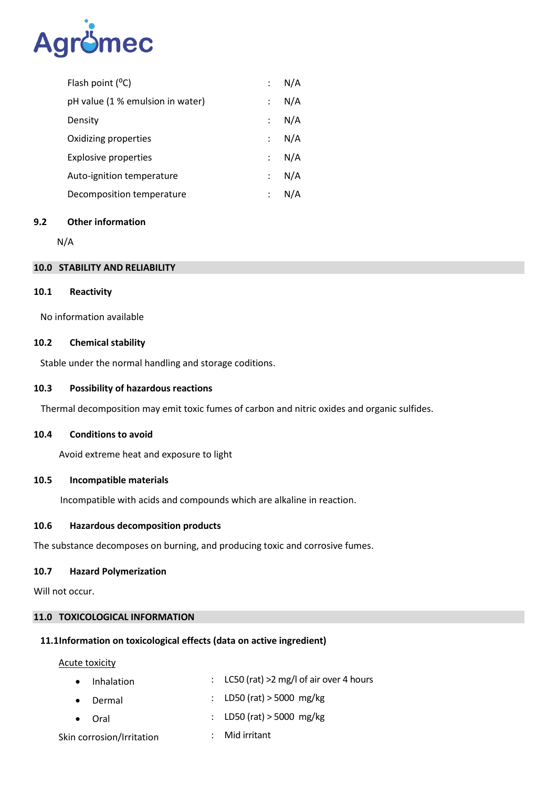

| Flash point $(^{\circ}C)$        |               | : N/A |
|----------------------------------|---------------|-------|
| pH value (1 % emulsion in water) | $\mathcal{L}$ | N/A   |
| Density                          |               | : N/A |
| Oxidizing properties             |               | : N/A |
| <b>Explosive properties</b>      |               | : N/A |
| Auto-ignition temperature        |               | : N/A |
| Decomposition temperature        |               | N/A   |

### **9.2 Other information**

N/A

#### **10.0 STABILITY AND RELIABILITY**

#### **10.1 Reactivity**

No information available

### **10.2 Chemical stability**

Stable under the normal handling and storage coditions.

### **10.3 Possibility of hazardous reactions**

Thermal decomposition may emit toxic fumes of carbon and nitric oxides and organic sulfides.

#### **10.4 Conditions to avoid**

Avoid extreme heat and exposure to light

#### **10.5 Incompatible materials**

Incompatible with acids and compounds which are alkaline in reaction.

### **10.6 Hazardous decomposition products**

The substance decomposes on burning, and producing toxic and corrosive fumes.

#### **10.7 Hazard Polymerization**

Will not occur.

### **11.0 TOXICOLOGICAL INFORMATION**

### **11.1Information on toxicological effects (data on active ingredient)**

Acute toxicity

|  |  | • Inhalation | : LC50 (rat) $>2$ mg/l of air over 4 hours |
|--|--|--------------|--------------------------------------------|
|--|--|--------------|--------------------------------------------|

- Dermal : LD50 (rat) > 5000 mg/kg
- Oral : LD50 (rat) > 5000 mg/kg
- Skin corrosion/Irritation : Mid irritant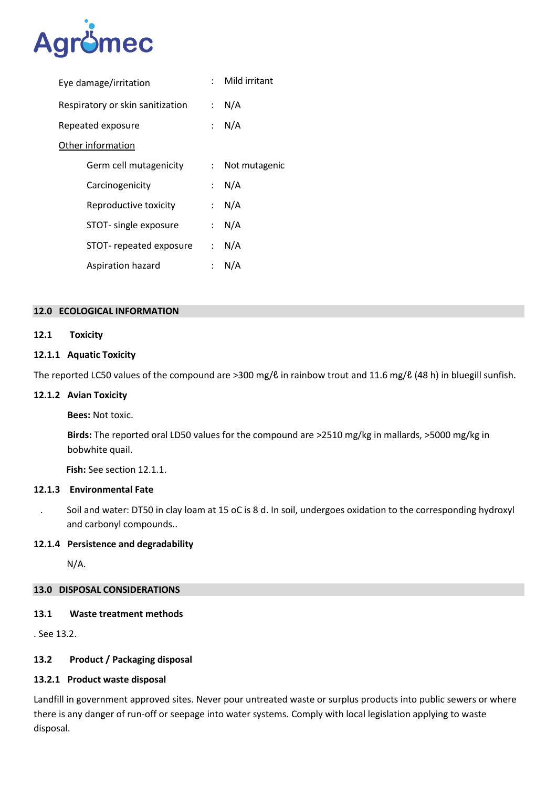

| Eye damage/irritation            |                      | : Mild irritant |
|----------------------------------|----------------------|-----------------|
| Respiratory or skin sanitization | $\mathcal{L}$        | N/A             |
| Repeated exposure                |                      | : N/A           |
| Other information                |                      |                 |
| Germ cell mutagenicity           | $\mathcal{L}$        | Not mutagenic   |
| Carcinogenicity                  | $\mathcal{L}$        | N/A             |
| Reproductive toxicity            |                      | : N/A           |
| STOT- single exposure            | $\mathcal{L}$        | N/A             |
| STOT-repeated exposure           |                      | : $N/A$         |
| Aspiration hazard                | $\ddot{\phantom{0}}$ | N/A             |
|                                  |                      |                 |

#### **12.0 ECOLOGICAL INFORMATION**

### **12.1 Toxicity**

### **12.1.1 Aquatic Toxicity**

The reported LC50 values of the compound are >300 mg/ℓ in rainbow trout and 11.6 mg/ℓ (48 h) in bluegill sunfish.

#### **12.1.2 Avian Toxicity**

**Bees:** Not toxic.

**Birds:** The reported oral LD50 values for the compound are >2510 mg/kg in mallards, >5000 mg/kg in bobwhite quail.

 **Fish:** See section 12.1.1.

#### **12.1.3 Environmental Fate**

. Soil and water: DT50 in clay loam at 15 oC is 8 d. In soil, undergoes oxidation to the corresponding hydroxyl and carbonyl compounds..

#### **12.1.4 Persistence and degradability**

N/A.

### **13.0 DISPOSAL CONSIDERATIONS**

### **13.1 Waste treatment methods**

. See 13.2.

## **13.2 Product / Packaging disposal**

### **13.2.1 Product waste disposal**

Landfill in government approved sites. Never pour untreated waste or surplus products into public sewers or where there is any danger of run-off or seepage into water systems. Comply with local legislation applying to waste disposal.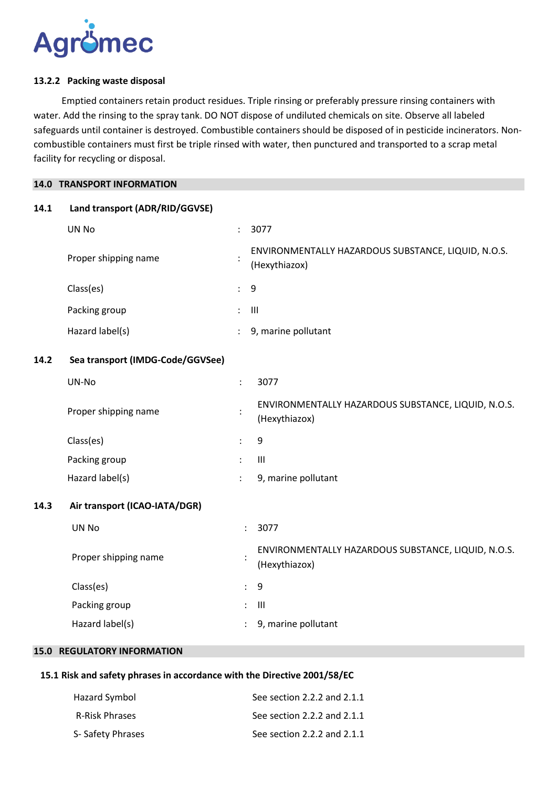

#### **13.2.2 Packing waste disposal**

 Emptied containers retain product residues. Triple rinsing or preferably pressure rinsing containers with water. Add the rinsing to the spray tank. DO NOT dispose of undiluted chemicals on site. Observe all labeled safeguards until container is destroyed. Combustible containers should be disposed of in pesticide incinerators. Noncombustible containers must first be triple rinsed with water, then punctured and transported to a scrap metal facility for recycling or disposal.

#### **14.0 TRANSPORT INFORMATION**

#### **14.1 Land transport (ADR/RID/GGVSE)**

| UN No                | ÷                    | 3077                                                                 |
|----------------------|----------------------|----------------------------------------------------------------------|
| Proper shipping name |                      | ENVIRONMENTALLY HAZARDOUS SUBSTANCE, LIQUID, N.O.S.<br>(Hexythiazox) |
| Class(es)            | $\ddot{\phantom{a}}$ | - 9                                                                  |
| Packing group        | $\ddot{\phantom{a}}$ | - III                                                                |
| Hazard label(s)      | ÷                    | 9, marine pollutant                                                  |

#### **14.2 Sea transport (IMDG-Code/GGVSee)**

| UN-No                | ٠<br>$\cdot$         | 3077                                                                 |
|----------------------|----------------------|----------------------------------------------------------------------|
| Proper shipping name | ٠                    | ENVIRONMENTALLY HAZARDOUS SUBSTANCE, LIQUID, N.O.S.<br>(Hexythiazox) |
| Class(es)            | $\ddot{\phantom{0}}$ | 9                                                                    |
| Packing group        | ÷                    | Ш                                                                    |
| Hazard label(s)      | ÷                    | 9, marine pollutant                                                  |

### **14.3 Air transport (ICAO-IATA/DGR)**

| UN No                |               | 3077                                                                 |
|----------------------|---------------|----------------------------------------------------------------------|
| Proper shipping name |               | ENVIRONMENTALLY HAZARDOUS SUBSTANCE, LIQUID, N.O.S.<br>(Hexythiazox) |
| Class(es)            |               | : 9                                                                  |
| Packing group        | $\mathcal{L}$ | Ш                                                                    |
| Hazard label(s)      |               | 9, marine pollutant                                                  |

### **15.0 REGULATORY INFORMATION**

# **15.1 Risk and safety phrases in accordance with the Directive 2001/58/EC**

| Hazard Symbol         | See section 2.2.2 and 2.1.1 |
|-----------------------|-----------------------------|
| <b>R-Risk Phrases</b> | See section 2.2.2 and 2.1.1 |
| S-Safety Phrases      | See section 2.2.2 and 2.1.1 |